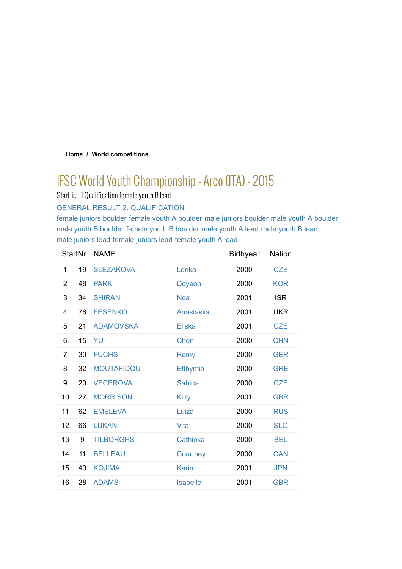# **Home / World competitions**

# IFSC World Youth Championship - Arco (ITA) - 2015

Startlist: 1.Qualification female youth B lead

GENERAL RESULT 2. QUALIFICATION

female juniors boulder female youth A boulder male juniors boulder male youth A boulder male youth B boulder female youth B boulder male youth A lead male youth B lead male juniors lead female juniors lead female youth A lead

| <b>StartNr</b> |    | <b>NAME</b>       |                 | <b>Birthyear</b> | Nation     |
|----------------|----|-------------------|-----------------|------------------|------------|
| 1              | 19 | <b>SLEZAKOVA</b>  | Lenka           | 2000             | <b>CZE</b> |
| 2              | 48 | <b>PARK</b>       | Doyeon          | 2000             | <b>KOR</b> |
| 3              | 34 | <b>SHIRAN</b>     | <b>Noa</b>      | 2001             | <b>ISR</b> |
| 4              | 76 | <b>FESENKO</b>    | Anastasiia      | 2001             | <b>UKR</b> |
| 5              | 21 | <b>ADAMOVSKA</b>  | <b>Eliska</b>   | 2001             | <b>CZE</b> |
| 6              | 15 | YU                | <b>Chen</b>     | 2000             | <b>CHN</b> |
| 7              | 30 | <b>FUCHS</b>      | <b>Romy</b>     | 2000             | <b>GER</b> |
| 8              | 32 | <b>MOUTAFIDOU</b> | Efthymia        | 2000             | <b>GRE</b> |
| 9              | 20 | <b>VECEROVA</b>   | <b>Sabina</b>   | 2000             | <b>CZE</b> |
| 10             | 27 | <b>MORRISON</b>   | <b>Kitty</b>    | 2001             | <b>GBR</b> |
| 11             | 62 | <b>EMELEVA</b>    | Luiza           | 2000             | <b>RUS</b> |
| 12             | 66 | <b>LUKAN</b>      | Vita            | 2000             | <b>SLO</b> |
| 13             | 9  | <b>TILBORGHS</b>  | Cathinka        | 2000             | <b>BEL</b> |
| 14             | 11 | <b>BELLEAU</b>    | Courtney        | 2000             | <b>CAN</b> |
| 15             | 40 | <b>KOJIMA</b>     | <b>Karin</b>    | 2001             | <b>JPN</b> |
| 16             | 28 | <b>ADAMS</b>      | <b>Isabelle</b> | 2001             | <b>GBR</b> |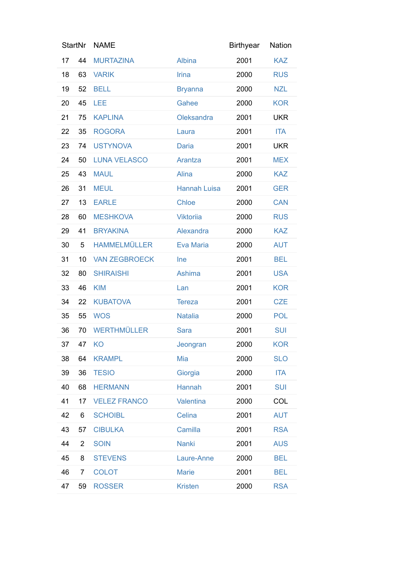| <b>StartNr</b> |                | <b>NAME</b>          |                     | <b>Birthyear</b> | Nation     |
|----------------|----------------|----------------------|---------------------|------------------|------------|
| 17             | 44             | <b>MURTAZINA</b>     | Albina              | 2001             | <b>KAZ</b> |
| 18             | 63             | <b>VARIK</b>         | Irina               | 2000             | <b>RUS</b> |
| 19             | 52             | <b>BELL</b>          | <b>Bryanna</b>      | 2000             | <b>NZL</b> |
| 20             | 45             | LEE                  | Gahee               | 2000             | <b>KOR</b> |
| 21             | 75             | <b>KAPLINA</b>       | Oleksandra          | 2001             | <b>UKR</b> |
| 22             | 35             | <b>ROGORA</b>        | Laura               | 2001             | <b>ITA</b> |
| 23             | 74             | <b>USTYNOVA</b>      | <b>Daria</b>        | 2001             | <b>UKR</b> |
| 24             | 50             | <b>LUNA VELASCO</b>  | Arantza             | 2001             | <b>MEX</b> |
| 25             | 43             | <b>MAUL</b>          | Alina               | 2000             | <b>KAZ</b> |
| 26             | 31             | <b>MEUL</b>          | <b>Hannah Luisa</b> | 2001             | <b>GER</b> |
| 27             | 13             | <b>EARLE</b>         | <b>Chloe</b>        | 2000             | <b>CAN</b> |
| 28             | 60             | <b>MESHKOVA</b>      | <b>Viktoriia</b>    | 2000             | <b>RUS</b> |
| 29             | 41             | <b>BRYAKINA</b>      | Alexandra           | 2000             | <b>KAZ</b> |
| 30             | 5              | <b>HAMMELMÜLLER</b>  | Eva Maria           | 2000             | <b>AUT</b> |
| 31             | 10             | <b>VAN ZEGBROECK</b> | Ine                 | 2001             | <b>BEL</b> |
| 32             | 80             | <b>SHIRAISHI</b>     | Ashima              | 2001             | <b>USA</b> |
| 33             | 46             | <b>KIM</b>           | Lan                 | 2001             | <b>KOR</b> |
| 34             | 22             | <b>KUBATOVA</b>      | <b>Tereza</b>       | 2001             | <b>CZE</b> |
| 35             | 55             | <b>WOS</b>           | <b>Natalia</b>      | 2000             | <b>POL</b> |
| 36             | 70             | <b>WERTHMÜLLER</b>   | Sara                | 2001             | <b>SUI</b> |
| 37             | 47             | KO                   | Jeongran            | 2000             | <b>KOR</b> |
| 38             | 64             | <b>KRAMPL</b>        | Mia                 | 2000             | <b>SLO</b> |
| 39             | 36             | <b>TESIO</b>         | Giorgia             | 2000             | <b>ITA</b> |
| 40             | 68             | <b>HERMANN</b>       | Hannah              | 2001             | <b>SUI</b> |
| 41             | 17             | <b>VELEZ FRANCO</b>  | Valentina           | 2000             | COL        |
| 42             | 6              | <b>SCHOIBL</b>       | Celina              | 2001             | <b>AUT</b> |
| 43             | 57             | <b>CIBULKA</b>       | Camilla             | 2001             | <b>RSA</b> |
| 44             | $\overline{2}$ | <b>SOIN</b>          | <b>Nanki</b>        | 2001             | <b>AUS</b> |
| 45             | 8              | <b>STEVENS</b>       | Laure-Anne          | 2000             | <b>BEL</b> |
| 46             | 7              | <b>COLOT</b>         | <b>Marie</b>        | 2001             | <b>BEL</b> |
| 47             | 59             | <b>ROSSER</b>        | <b>Kristen</b>      | 2000             | <b>RSA</b> |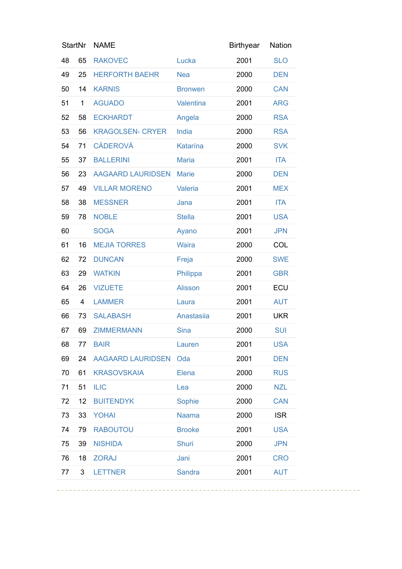| <b>StartNr</b> |              | <b>NAME</b>              |                | <b>Birthyear</b> | Nation     |
|----------------|--------------|--------------------------|----------------|------------------|------------|
| 48             | 65           | <b>RAKOVEC</b>           | Lucka          | 2001             | <b>SLO</b> |
| 49             | 25           | <b>HERFORTH BAEHR</b>    | <b>Nea</b>     | 2000             | <b>DEN</b> |
| 50             | 14           | <b>KARNIS</b>            | <b>Bronwen</b> | 2000             | <b>CAN</b> |
| 51             | $\mathbf{1}$ | <b>AGUADO</b>            | Valentina      | 2001             | <b>ARG</b> |
| 52             | 58           | <b>ECKHARDT</b>          | Angela         | 2000             | <b>RSA</b> |
| 53             | 56           | <b>KRAGOLSEN- CRYER</b>  | India          | 2000             | <b>RSA</b> |
| 54             | 71           | <b>CÁDEROVÁ</b>          | Katarína       | 2000             | <b>SVK</b> |
| 55             | 37           | <b>BALLERINI</b>         | <b>Maria</b>   | 2001             | <b>ITA</b> |
| 56             | 23           | <b>AAGAARD LAURIDSEN</b> | <b>Marie</b>   | 2000             | <b>DEN</b> |
| 57             | 49           | <b>VILLAR MORENO</b>     | Valeria        | 2001             | <b>MEX</b> |
| 58             | 38           | <b>MESSNER</b>           | Jana           | 2001             | <b>ITA</b> |
| 59             | 78           | <b>NOBLE</b>             | <b>Stella</b>  | 2001             | <b>USA</b> |
| 60             |              | <b>SOGA</b>              | Ayano          | 2001             | <b>JPN</b> |
| 61             | 16           | <b>MEJIA TORRES</b>      | <b>Waira</b>   | 2000             | COL        |
| 62             | 72           | <b>DUNCAN</b>            | Freja          | 2000             | <b>SWE</b> |
| 63             | 29           | <b>WATKIN</b>            | Philippa       | 2001             | <b>GBR</b> |
| 64             | 26           | <b>VIZUETE</b>           | <b>Alisson</b> | 2001             | ECU        |
| 65             | 4            | <b>LAMMER</b>            | Laura          | 2001             | <b>AUT</b> |
| 66             | 73           | <b>SALABASH</b>          | Anastasiia     | 2001             | <b>UKR</b> |
| 67             | 69           | <b>ZIMMERMANN</b>        | <b>Sina</b>    | 2000             | <b>SUI</b> |
| 68             | 77           | <b>BAIR</b>              | Lauren         | 2001             | <b>USA</b> |
| 69             | 24           | <b>AAGAARD LAURIDSEN</b> | Oda            | 2001             | <b>DEN</b> |
| 70             | 61           | <b>KRASOVSKAIA</b>       | Elena          | 2000             | <b>RUS</b> |
| 71             | 51           | <b>ILIC</b>              | Lea            | 2000             | <b>NZL</b> |
| 72             | 12           | <b>BUITENDYK</b>         | Sophie         | 2000             | <b>CAN</b> |
| 73             | 33           | <b>YOHAI</b>             | <b>Naama</b>   | 2000             | <b>ISR</b> |
| 74             | 79           | <b>RABOUTOU</b>          | <b>Brooke</b>  | 2001             | <b>USA</b> |
| 75             | 39           | <b>NISHIDA</b>           | <b>Shuri</b>   | 2000             | <b>JPN</b> |
| 76             | 18           | <b>ZORAJ</b>             | Jani           | 2001             | <b>CRO</b> |
| 77             | 3            | <b>LETTNER</b>           | <b>Sandra</b>  | 2001             | <b>AUT</b> |
|                |              |                          |                |                  |            |

-----------------------------

--------------------------